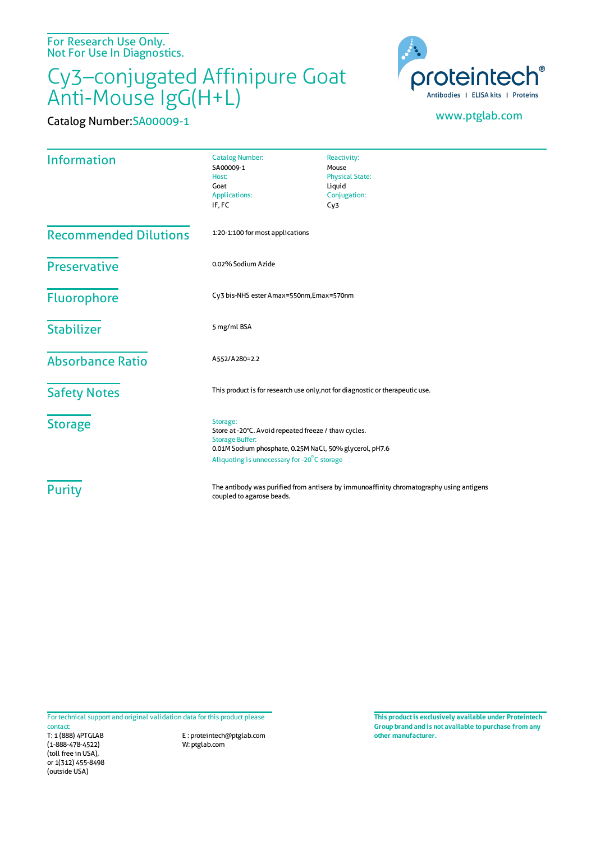For Research Use Only. Not For Use In Diagnostics.

## Cy3–conjugated Affinipure Goat Anti-Mouse IgG(H+L)

Catalog Number:SA00009-1 www.ptglab.com



| <b>Information</b>           | <b>Catalog Number:</b><br>SA00009-1<br>Host:<br>Goat<br><b>Applications:</b><br>IF, FC                                                                                                               | Reactivity:<br>Mouse<br><b>Physical State:</b><br>Liquid<br>Conjugation:<br>Cy3 |
|------------------------------|------------------------------------------------------------------------------------------------------------------------------------------------------------------------------------------------------|---------------------------------------------------------------------------------|
| <b>Recommended Dilutions</b> | 1:20-1:100 for most applications                                                                                                                                                                     |                                                                                 |
| <b>Preservative</b>          | 0.02% Sodium Azide                                                                                                                                                                                   |                                                                                 |
| <b>Fluorophore</b>           | Cy3 bis-NHS ester Amax=550nm, Emax=570nm                                                                                                                                                             |                                                                                 |
| <b>Stabilizer</b>            | 5 mg/ml BSA                                                                                                                                                                                          |                                                                                 |
| <b>Absorbance Ratio</b>      | A552/A280=2.2                                                                                                                                                                                        |                                                                                 |
| <b>Safety Notes</b>          | This product is for research use only, not for diagnostic or therapeutic use.                                                                                                                        |                                                                                 |
| <b>Storage</b>               | Storage:<br>Store at -20°C. Avoid repeated freeze / thaw cycles.<br><b>Storage Buffer:</b><br>0.01M Sodium phosphate, 0.25M NaCl, 50% glycerol, pH7.6<br>Aliquoting is unnecessary for -20°C storage |                                                                                 |
| <b>Purity</b>                | The antibody was purified from antisera by immunoaffinity chromatography using antigens<br>coupled to agarose beads.                                                                                 |                                                                                 |

For technical support and original validation data for this product please

T: 1 (888) 4PTGLAB (1-888-478-4522) (toll free in USA), or 1(312) 455-8498 (outside USA) contact:

E : proteintech@ptglab.com W: ptglab.com

**This productis exclusively available under Proteintech Group brand and is not available to purchase from any other manufacturer.**